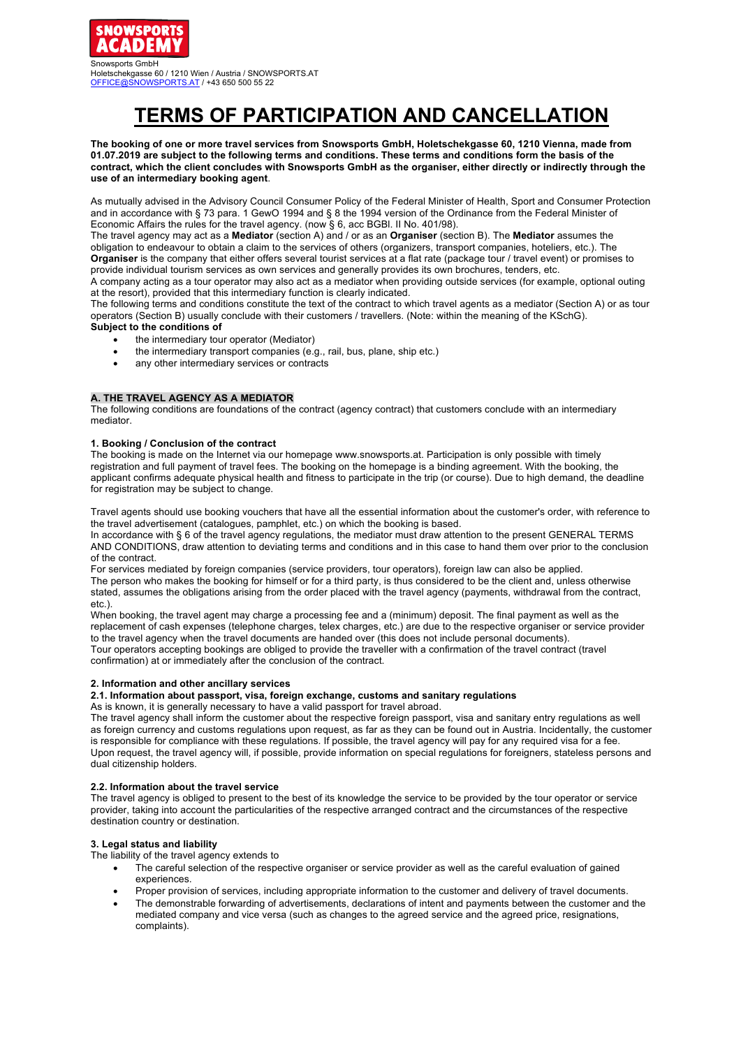

# **TERMS OF PARTICIPATION AND CANCELLATION**

**The booking of one or more travel services from Snowsports GmbH, Holetschekgasse 60, 1210 Vienna, made from 01.07.2019 are subject to the following terms and conditions. These terms and conditions form the basis of the contract, which the client concludes with Snowsports GmbH as the organiser, either directly or indirectly through the use of an intermediary booking agent**.

As mutually advised in the Advisory Council Consumer Policy of the Federal Minister of Health, Sport and Consumer Protection and in accordance with § 73 para. 1 GewO 1994 and § 8 the 1994 version of the Ordinance from the Federal Minister of Economic Affairs the rules for the travel agency. (now § 6, acc BGBl. II No. 401/98).

The travel agency may act as a **Mediator** (section A) and / or as an **Organiser** (section B). The **Mediator** assumes the obligation to endeavour to obtain a claim to the services of others (organizers, transport companies, hoteliers, etc.). The **Organiser** is the company that either offers several tourist services at a flat rate (package tour / travel event) or promises to provide individual tourism services as own services and generally provides its own brochures, tenders, etc. A company acting as a tour operator may also act as a mediator when providing outside services (for example, optional outing

at the resort), provided that this intermediary function is clearly indicated.

The following terms and conditions constitute the text of the contract to which travel agents as a mediator (Section A) or as tour operators (Section B) usually conclude with their customers / travellers. (Note: within the meaning of the KSchG). **Subject to the conditions of**

- the intermediary tour operator (Mediator)
	- the intermediary transport companies (e.g., rail, bus, plane, ship etc.)
	- any other intermediary services or contracts

## **A. THE TRAVEL AGENCY AS A MEDIATOR**

The following conditions are foundations of the contract (agency contract) that customers conclude with an intermediary mediator.

## **1. Booking / Conclusion of the contract**

The booking is made on the Internet via our homepage www.snowsports.at. Participation is only possible with timely registration and full payment of travel fees. The booking on the homepage is a binding agreement. With the booking, the applicant confirms adequate physical health and fitness to participate in the trip (or course). Due to high demand, the deadline for registration may be subject to change.

Travel agents should use booking vouchers that have all the essential information about the customer's order, with reference to the travel advertisement (catalogues, pamphlet, etc.) on which the booking is based.

In accordance with § 6 of the travel agency regulations, the mediator must draw attention to the present GENERAL TERMS AND CONDITIONS, draw attention to deviating terms and conditions and in this case to hand them over prior to the conclusion of the contract.

For services mediated by foreign companies (service providers, tour operators), foreign law can also be applied. The person who makes the booking for himself or for a third party, is thus considered to be the client and, unless otherwise stated, assumes the obligations arising from the order placed with the travel agency (payments, withdrawal from the contract, etc.).

When booking, the travel agent may charge a processing fee and a (minimum) deposit. The final payment as well as the replacement of cash expenses (telephone charges, telex charges, etc.) are due to the respective organiser or service provider to the travel agency when the travel documents are handed over (this does not include personal documents). Tour operators accepting bookings are obliged to provide the traveller with a confirmation of the travel contract (travel confirmation) at or immediately after the conclusion of the contract.

## **2. Information and other ancillary services**

**2.1. Information about passport, visa, foreign exchange, customs and sanitary regulations**

As is known, it is generally necessary to have a valid passport for travel abroad.

The travel agency shall inform the customer about the respective foreign passport, visa and sanitary entry regulations as well as foreign currency and customs regulations upon request, as far as they can be found out in Austria. Incidentally, the customer is responsible for compliance with these regulations. If possible, the travel agency will pay for any required visa for a fee. Upon request, the travel agency will, if possible, provide information on special regulations for foreigners, stateless persons and dual citizenship holders.

#### **2.2. Information about the travel service**

The travel agency is obliged to present to the best of its knowledge the service to be provided by the tour operator or service provider, taking into account the particularities of the respective arranged contract and the circumstances of the respective destination country or destination.

## **3. Legal status and liability**

The liability of the travel agency extends to

- The careful selection of the respective organiser or service provider as well as the careful evaluation of gained experiences.
- Proper provision of services, including appropriate information to the customer and delivery of travel documents.
- The demonstrable forwarding of advertisements, declarations of intent and payments between the customer and the mediated company and vice versa (such as changes to the agreed service and the agreed price, resignations, complaints).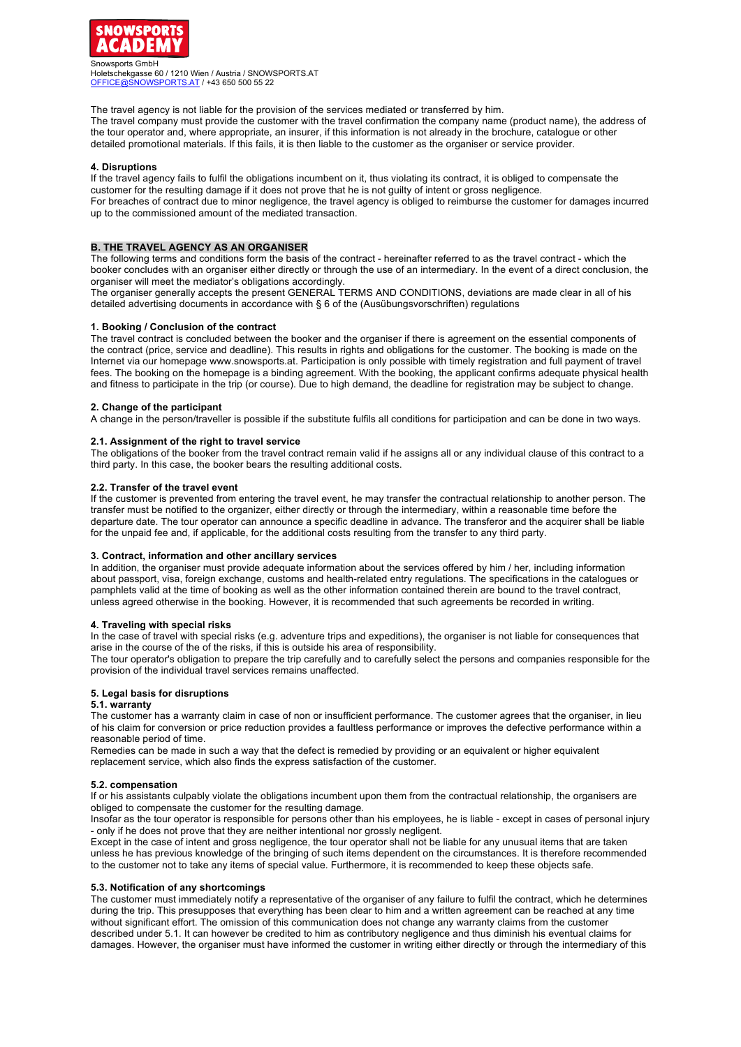

The travel agency is not liable for the provision of the services mediated or transferred by him. The travel company must provide the customer with the travel confirmation the company name (product name), the address of the tour operator and, where appropriate, an insurer, if this information is not already in the brochure, catalogue or other detailed promotional materials. If this fails, it is then liable to the customer as the organiser or service provider.

## **4. Disruptions**

If the travel agency fails to fulfil the obligations incumbent on it, thus violating its contract, it is obliged to compensate the customer for the resulting damage if it does not prove that he is not guilty of intent or gross negligence. For breaches of contract due to minor negligence, the travel agency is obliged to reimburse the customer for damages incurred up to the commissioned amount of the mediated transaction.

## **B. THE TRAVEL AGENCY AS AN ORGANISER**

The following terms and conditions form the basis of the contract - hereinafter referred to as the travel contract - which the booker concludes with an organiser either directly or through the use of an intermediary. In the event of a direct conclusion, the organiser will meet the mediator's obligations accordingly.

The organiser generally accepts the present GENERAL TERMS AND CONDITIONS, deviations are made clear in all of his detailed advertising documents in accordance with § 6 of the (Ausübungsvorschriften) regulations

#### **1. Booking / Conclusion of the contract**

The travel contract is concluded between the booker and the organiser if there is agreement on the essential components of the contract (price, service and deadline). This results in rights and obligations for the customer. The booking is made on the Internet via our homepage www.snowsports.at. Participation is only possible with timely registration and full payment of travel fees. The booking on the homepage is a binding agreement. With the booking, the applicant confirms adequate physical health and fitness to participate in the trip (or course). Due to high demand, the deadline for registration may be subject to change.

#### **2. Change of the participant**

A change in the person/traveller is possible if the substitute fulfils all conditions for participation and can be done in two ways.

#### **2.1. Assignment of the right to travel service**

The obligations of the booker from the travel contract remain valid if he assigns all or any individual clause of this contract to a third party. In this case, the booker bears the resulting additional costs.

#### **2.2. Transfer of the travel event**

If the customer is prevented from entering the travel event, he may transfer the contractual relationship to another person. The transfer must be notified to the organizer, either directly or through the intermediary, within a reasonable time before the departure date. The tour operator can announce a specific deadline in advance. The transferor and the acquirer shall be liable for the unpaid fee and, if applicable, for the additional costs resulting from the transfer to any third party.

#### **3. Contract, information and other ancillary services**

In addition, the organiser must provide adequate information about the services offered by him / her, including information about passport, visa, foreign exchange, customs and health-related entry regulations. The specifications in the catalogues or pamphlets valid at the time of booking as well as the other information contained therein are bound to the travel contract, unless agreed otherwise in the booking. However, it is recommended that such agreements be recorded in writing.

#### **4. Traveling with special risks**

In the case of travel with special risks (e.g. adventure trips and expeditions), the organiser is not liable for consequences that arise in the course of the of the risks, if this is outside his area of responsibility.

The tour operator's obligation to prepare the trip carefully and to carefully select the persons and companies responsible for the provision of the individual travel services remains unaffected.

## **5. Legal basis for disruptions**

### **5.1. warranty**

The customer has a warranty claim in case of non or insufficient performance. The customer agrees that the organiser, in lieu of his claim for conversion or price reduction provides a faultless performance or improves the defective performance within a reasonable period of time.

Remedies can be made in such a way that the defect is remedied by providing or an equivalent or higher equivalent replacement service, which also finds the express satisfaction of the customer.

## **5.2. compensation**

If or his assistants culpably violate the obligations incumbent upon them from the contractual relationship, the organisers are obliged to compensate the customer for the resulting damage.

Insofar as the tour operator is responsible for persons other than his employees, he is liable - except in cases of personal injury - only if he does not prove that they are neither intentional nor grossly negligent.

Except in the case of intent and gross negligence, the tour operator shall not be liable for any unusual items that are taken unless he has previous knowledge of the bringing of such items dependent on the circumstances. It is therefore recommended to the customer not to take any items of special value. Furthermore, it is recommended to keep these objects safe.

#### **5.3. Notification of any shortcomings**

The customer must immediately notify a representative of the organiser of any failure to fulfil the contract, which he determines during the trip. This presupposes that everything has been clear to him and a written agreement can be reached at any time without significant effort. The omission of this communication does not change any warranty claims from the customer described under 5.1. It can however be credited to him as contributory negligence and thus diminish his eventual claims for damages. However, the organiser must have informed the customer in writing either directly or through the intermediary of this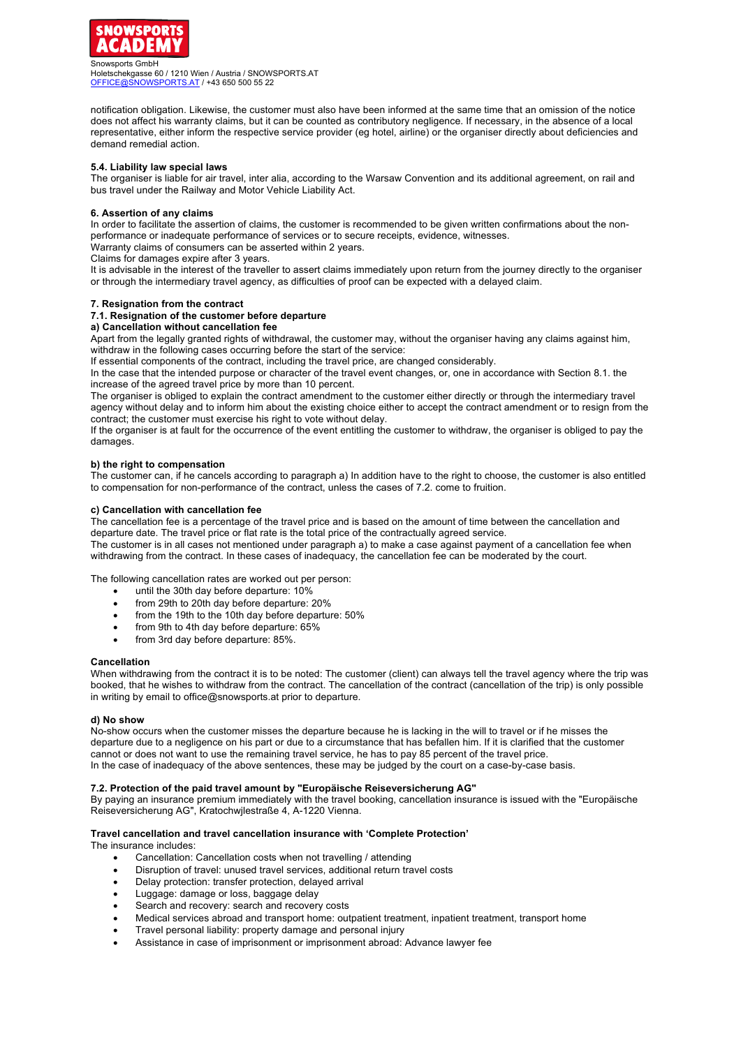

notification obligation. Likewise, the customer must also have been informed at the same time that an omission of the notice does not affect his warranty claims, but it can be counted as contributory negligence. If necessary, in the absence of a local representative, either inform the respective service provider (eg hotel, airline) or the organiser directly about deficiencies and demand remedial action.

## **5.4. Liability law special laws**

The organiser is liable for air travel, inter alia, according to the Warsaw Convention and its additional agreement, on rail and bus travel under the Railway and Motor Vehicle Liability Act.

#### **6. Assertion of any claims**

In order to facilitate the assertion of claims, the customer is recommended to be given written confirmations about the nonperformance or inadequate performance of services or to secure receipts, evidence, witnesses.

Warranty claims of consumers can be asserted within 2 years.

Claims for damages expire after 3 years.

It is advisable in the interest of the traveller to assert claims immediately upon return from the journey directly to the organiser or through the intermediary travel agency, as difficulties of proof can be expected with a delayed claim.

#### **7. Resignation from the contract**

#### **7.1. Resignation of the customer before departure**

#### **a) Cancellation without cancellation fee**

Apart from the legally granted rights of withdrawal, the customer may, without the organiser having any claims against him, withdraw in the following cases occurring before the start of the service:

If essential components of the contract, including the travel price, are changed considerably.

In the case that the intended purpose or character of the travel event changes, or, one in accordance with Section 8.1. the increase of the agreed travel price by more than 10 percent.

The organiser is obliged to explain the contract amendment to the customer either directly or through the intermediary travel agency without delay and to inform him about the existing choice either to accept the contract amendment or to resign from the contract; the customer must exercise his right to vote without delay.

If the organiser is at fault for the occurrence of the event entitling the customer to withdraw, the organiser is obliged to pay the damages.

#### **b) the right to compensation**

The customer can, if he cancels according to paragraph a) In addition have to the right to choose, the customer is also entitled to compensation for non-performance of the contract, unless the cases of 7.2. come to fruition.

## **c) Cancellation with cancellation fee**

The cancellation fee is a percentage of the travel price and is based on the amount of time between the cancellation and departure date. The travel price or flat rate is the total price of the contractually agreed service. The customer is in all cases not mentioned under paragraph a) to make a case against payment of a cancellation fee when withdrawing from the contract. In these cases of inadequacy, the cancellation fee can be moderated by the court.

The following cancellation rates are worked out per person:

- until the 30th day before departure: 10%
- from 29th to 20th day before departure: 20%
- from the 19th to the 10th day before departure: 50%
- from 9th to 4th day before departure: 65%
- from 3rd day before departure: 85%.

#### **Cancellation**

When withdrawing from the contract it is to be noted: The customer (client) can always tell the travel agency where the trip was booked, that he wishes to withdraw from the contract. The cancellation of the contract (cancellation of the trip) is only possible in writing by email to office@snowsports.at prior to departure.

#### **d) No show**

No-show occurs when the customer misses the departure because he is lacking in the will to travel or if he misses the departure due to a negligence on his part or due to a circumstance that has befallen him. If it is clarified that the customer cannot or does not want to use the remaining travel service, he has to pay 85 percent of the travel price. In the case of inadequacy of the above sentences, these may be judged by the court on a case-by-case basis.

#### **7.2. Protection of the paid travel amount by "Europäische Reiseversicherung AG"**

By paying an insurance premium immediately with the travel booking, cancellation insurance is issued with the "Europäische Reiseversicherung AG", Kratochwjlestraße 4, A-1220 Vienna.

## **Travel cancellation and travel cancellation insurance with 'Complete Protection'**

The insurance includes:

- Cancellation: Cancellation costs when not travelling / attending
- Disruption of travel: unused travel services, additional return travel costs
- Delay protection: transfer protection, delayed arrival
- Luggage: damage or loss, baggage delay
- Search and recovery: search and recovery costs
- Medical services abroad and transport home: outpatient treatment, inpatient treatment, transport home
- Travel personal liability: property damage and personal injury
- Assistance in case of imprisonment or imprisonment abroad: Advance lawyer fee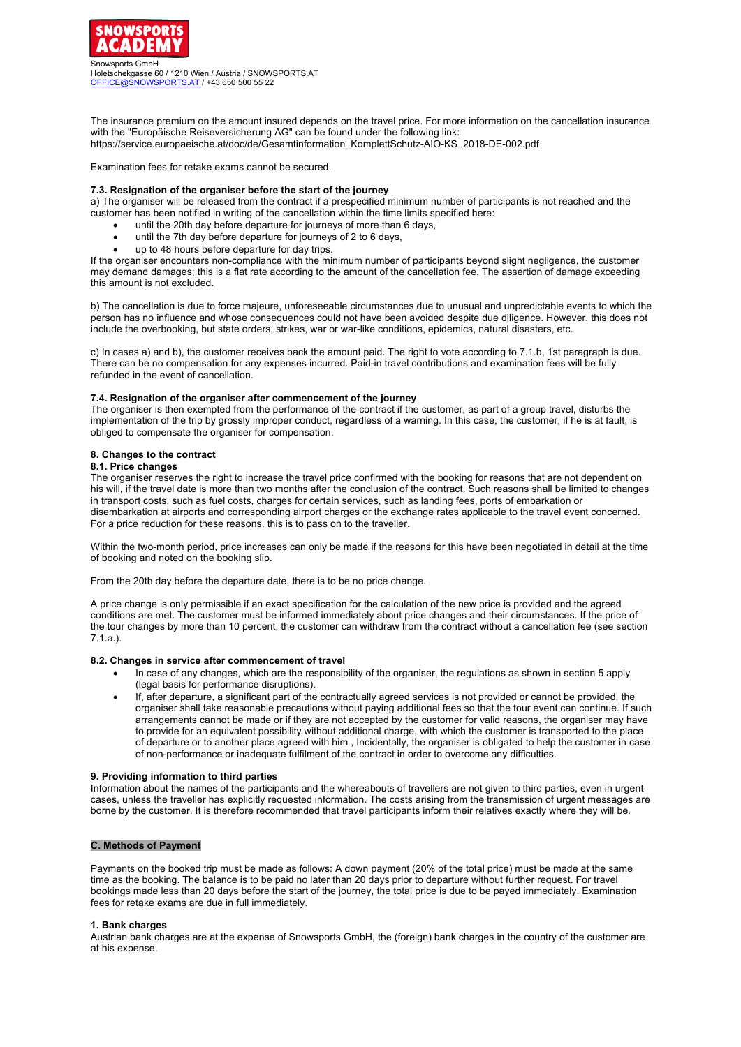

The insurance premium on the amount insured depends on the travel price. For more information on the cancellation insurance with the "Europäische Reiseversicherung AG" can be found under the following link:

https://service.europaeische.at/doc/de/Gesamtinformation\_KomplettSchutz-AIO-KS\_2018-DE-002.pdf

Examination fees for retake exams cannot be secured.

#### **7.3. Resignation of the organiser before the start of the journey**

a) The organiser will be released from the contract if a prespecified minimum number of participants is not reached and the customer has been notified in writing of the cancellation within the time limits specified here:

- until the 20th day before departure for journeys of more than 6 days,
- until the 7th day before departure for journeys of 2 to 6 days,
- up to 48 hours before departure for day trips.

If the organiser encounters non-compliance with the minimum number of participants beyond slight negligence, the customer may demand damages; this is a flat rate according to the amount of the cancellation fee. The assertion of damage exceeding this amount is not excluded.

b) The cancellation is due to force majeure, unforeseeable circumstances due to unusual and unpredictable events to which the person has no influence and whose consequences could not have been avoided despite due diligence. However, this does not include the overbooking, but state orders, strikes, war or war-like conditions, epidemics, natural disasters, etc.

c) In cases a) and b), the customer receives back the amount paid. The right to vote according to 7.1.b, 1st paragraph is due. There can be no compensation for any expenses incurred. Paid-in travel contributions and examination fees will be fully refunded in the event of cancellation.

#### **7.4. Resignation of the organiser after commencement of the journey**

The organiser is then exempted from the performance of the contract if the customer, as part of a group travel, disturbs the implementation of the trip by grossly improper conduct, regardless of a warning. In this case, the customer, if he is at fault, is obliged to compensate the organiser for compensation.

## **8. Changes to the contract**

#### **8.1. Price changes**

The organiser reserves the right to increase the travel price confirmed with the booking for reasons that are not dependent on his will, if the travel date is more than two months after the conclusion of the contract. Such reasons shall be limited to changes in transport costs, such as fuel costs, charges for certain services, such as landing fees, ports of embarkation or disembarkation at airports and corresponding airport charges or the exchange rates applicable to the travel event concerned. For a price reduction for these reasons, this is to pass on to the traveller.

Within the two-month period, price increases can only be made if the reasons for this have been negotiated in detail at the time of booking and noted on the booking slip.

From the 20th day before the departure date, there is to be no price change.

A price change is only permissible if an exact specification for the calculation of the new price is provided and the agreed conditions are met. The customer must be informed immediately about price changes and their circumstances. If the price of the tour changes by more than 10 percent, the customer can withdraw from the contract without a cancellation fee (see section 7.1.a.).

#### **8.2. Changes in service after commencement of travel**

- In case of any changes, which are the responsibility of the organiser, the regulations as shown in section 5 apply (legal basis for performance disruptions).
- If, after departure, a significant part of the contractually agreed services is not provided or cannot be provided, the organiser shall take reasonable precautions without paying additional fees so that the tour event can continue. If such arrangements cannot be made or if they are not accepted by the customer for valid reasons, the organiser may have to provide for an equivalent possibility without additional charge, with which the customer is transported to the place of departure or to another place agreed with him , Incidentally, the organiser is obligated to help the customer in case of non-performance or inadequate fulfilment of the contract in order to overcome any difficulties.

#### **9. Providing information to third parties**

Information about the names of the participants and the whereabouts of travellers are not given to third parties, even in urgent cases, unless the traveller has explicitly requested information. The costs arising from the transmission of urgent messages are borne by the customer. It is therefore recommended that travel participants inform their relatives exactly where they will be.

## **C. Methods of Payment**

Payments on the booked trip must be made as follows: A down payment (20% of the total price) must be made at the same time as the booking. The balance is to be paid no later than 20 days prior to departure without further request. For travel bookings made less than 20 days before the start of the journey, the total price is due to be payed immediately. Examination fees for retake exams are due in full immediately.

#### **1. Bank charges**

Austrian bank charges are at the expense of Snowsports GmbH, the (foreign) bank charges in the country of the customer are at his expense.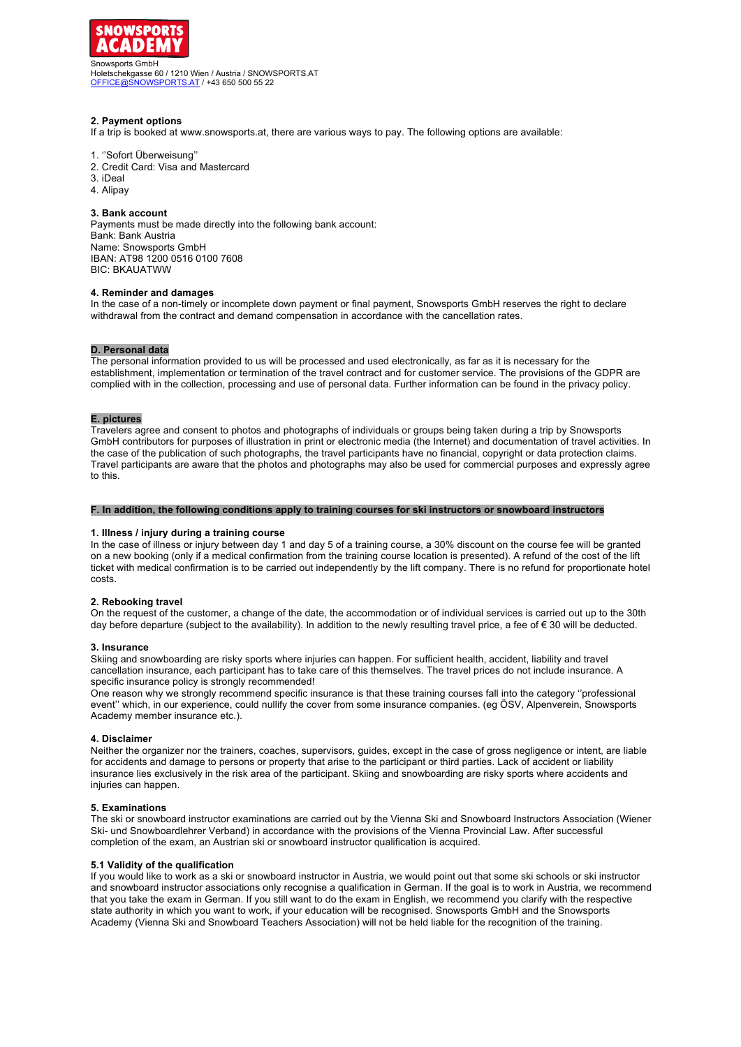

## **2. Payment options**

If a trip is booked at www.snowsports.at, there are various ways to pay. The following options are available:

## 1. ''Sofort Überweisung''

- 2. Credit Card: Visa and Mastercard
- 3. iDeal
- 4. Alipay

## **3. Bank account**

Payments must be made directly into the following bank account: Bank: Bank Austria Name: Snowsports GmbH IBAN: AT98 1200 0516 0100 7608 BIC: BKAUATWW

#### **4. Reminder and damages**

In the case of a non-timely or incomplete down payment or final payment, Snowsports GmbH reserves the right to declare withdrawal from the contract and demand compensation in accordance with the cancellation rates.

## **D. Personal data**

The personal information provided to us will be processed and used electronically, as far as it is necessary for the establishment, implementation or termination of the travel contract and for customer service. The provisions of the GDPR are complied with in the collection, processing and use of personal data. Further information can be found in the privacy policy.

#### **E. pictures**

Travelers agree and consent to photos and photographs of individuals or groups being taken during a trip by Snowsports GmbH contributors for purposes of illustration in print or electronic media (the Internet) and documentation of travel activities. In the case of the publication of such photographs, the travel participants have no financial, copyright or data protection claims. Travel participants are aware that the photos and photographs may also be used for commercial purposes and expressly agree to this.

## **F. In addition, the following conditions apply to training courses for ski instructors or snowboard instructors**

## **1. Illness / injury during a training course**

In the case of illness or injury between day 1 and day 5 of a training course, a 30% discount on the course fee will be granted on a new booking (only if a medical confirmation from the training course location is presented). A refund of the cost of the lift ticket with medical confirmation is to be carried out independently by the lift company. There is no refund for proportionate hotel costs.

#### **2. Rebooking travel**

On the request of the customer, a change of the date, the accommodation or of individual services is carried out up to the 30th day before departure (subject to the availability). In addition to the newly resulting travel price, a fee of € 30 will be deducted.

#### **3. Insurance**

Skiing and snowboarding are risky sports where injuries can happen. For sufficient health, accident, liability and travel cancellation insurance, each participant has to take care of this themselves. The travel prices do not include insurance. A specific insurance policy is strongly recommended!

One reason why we strongly recommend specific insurance is that these training courses fall into the category ''professional event'' which, in our experience, could nullify the cover from some insurance companies. (eg ÖSV, Alpenverein, Snowsports Academy member insurance etc.).

#### **4. Disclaimer**

Neither the organizer nor the trainers, coaches, supervisors, guides, except in the case of gross negligence or intent, are liable for accidents and damage to persons or property that arise to the participant or third parties. Lack of accident or liability insurance lies exclusively in the risk area of the participant. Skiing and snowboarding are risky sports where accidents and injuries can happen.

#### **5. Examinations**

The ski or snowboard instructor examinations are carried out by the Vienna Ski and Snowboard Instructors Association (Wiener Ski- und Snowboardlehrer Verband) in accordance with the provisions of the Vienna Provincial Law. After successful completion of the exam, an Austrian ski or snowboard instructor qualification is acquired.

#### **5.1 Validity of the qualification**

If you would like to work as a ski or snowboard instructor in Austria, we would point out that some ski schools or ski instructor and snowboard instructor associations only recognise a qualification in German. If the goal is to work in Austria, we recommend that you take the exam in German. If you still want to do the exam in English, we recommend you clarify with the respective state authority in which you want to work, if your education will be recognised. Snowsports GmbH and the Snowsports Academy (Vienna Ski and Snowboard Teachers Association) will not be held liable for the recognition of the training.